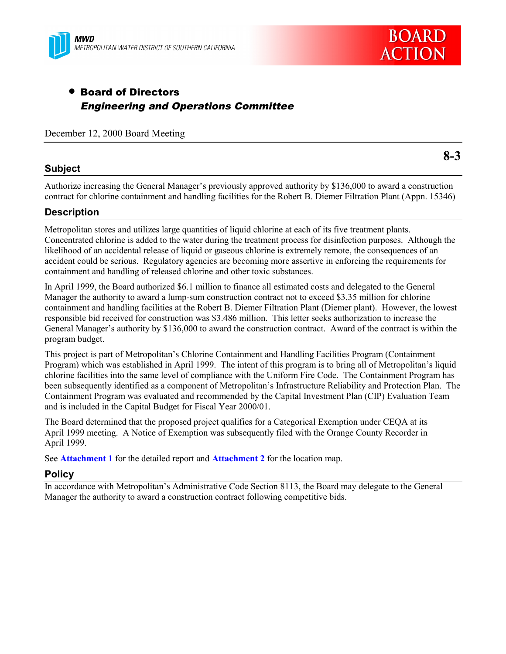



# • Board of Directors Engineering and Operations Committee

December 12, 2000 Board Meeting

#### **Subject**

**8-3**

Authorize increasing the General Manager's previously approved authority by \$136,000 to award a construction contract for chlorine containment and handling facilities for the Robert B. Diemer Filtration Plant (Appn. 15346)

### **Description**

Metropolitan stores and utilizes large quantities of liquid chlorine at each of its five treatment plants. Concentrated chlorine is added to the water during the treatment process for disinfection purposes. Although the likelihood of an accidental release of liquid or gaseous chlorine is extremely remote, the consequences of an accident could be serious. Regulatory agencies are becoming more assertive in enforcing the requirements for containment and handling of released chlorine and other toxic substances.

In April 1999, the Board authorized \$6.1 million to finance all estimated costs and delegated to the General Manager the authority to award a lump-sum construction contract not to exceed \$3.35 million for chlorine containment and handling facilities at the Robert B. Diemer Filtration Plant (Diemer plant). However, the lowest responsible bid received for construction was \$3.486 million. This letter seeks authorization to increase the General Manager's authority by \$136,000 to award the construction contract. Award of the contract is within the program budget.

This project is part of Metropolitan's Chlorine Containment and Handling Facilities Program (Containment Program) which was established in April 1999. The intent of this program is to bring all of Metropolitan's liquid chlorine facilities into the same level of compliance with the Uniform Fire Code. The Containment Program has been subsequently identified as a component of Metropolitan's Infrastructure Reliability and Protection Plan. The Containment Program was evaluated and recommended by the Capital Investment Plan (CIP) Evaluation Team and is included in the Capital Budget for Fiscal Year 2000/01.

The Board determined that the proposed project qualifies for a Categorical Exemption under CEQA at its April 1999 meeting. A Notice of Exemption was subsequently filed with the Orange County Recorder in April 1999.

See **Attachment 1** for the detailed report and **Attachment 2** for the location map.

#### **Policy**

In accordance with Metropolitan's Administrative Code Section 8113, the Board may delegate to the General Manager the authority to award a construction contract following competitive bids.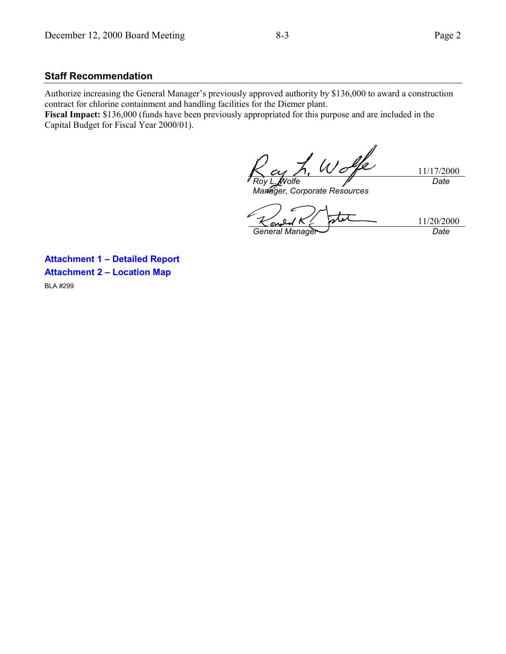#### **Staff Recommendation**

Authorize increasing the General Manager's previously approved authority by \$136,000 to award a construction contract for chlorine containment and handling facilities for the Diemer plant.

**Fiscal Impact:** \$136,000 (funds have been previously appropriated for this purpose and are included in the Capital Budget for Fiscal Year 2000/01).

Wolfe *Roy L. Wolfe*

11/17/2000 *Date*

*Manager, Corporate Resources*

11/20/2000 *General Manager Date*

**Attachment 1 – Detailed Report Attachment 2 – Location Map** BLA #299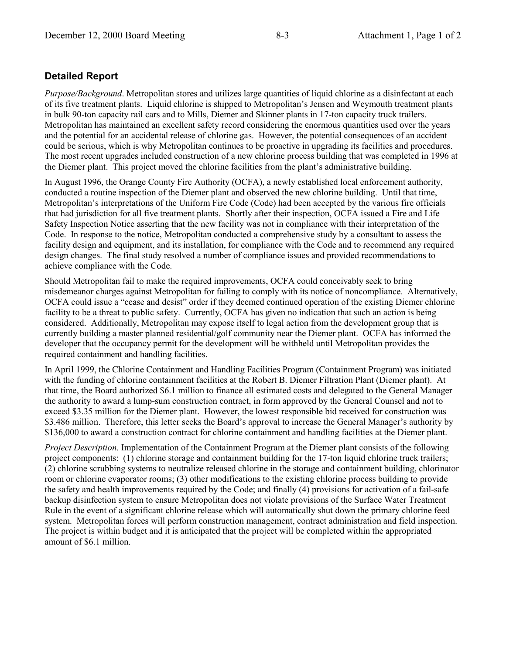## **Detailed Report**

*Purpose/Background*. Metropolitan stores and utilizes large quantities of liquid chlorine as a disinfectant at each of its five treatment plants. Liquid chlorine is shipped to Metropolitan's Jensen and Weymouth treatment plants in bulk 90-ton capacity rail cars and to Mills, Diemer and Skinner plants in 17-ton capacity truck trailers. Metropolitan has maintained an excellent safety record considering the enormous quantities used over the years and the potential for an accidental release of chlorine gas. However, the potential consequences of an accident could be serious, which is why Metropolitan continues to be proactive in upgrading its facilities and procedures. The most recent upgrades included construction of a new chlorine process building that was completed in 1996 at the Diemer plant. This project moved the chlorine facilities from the plant's administrative building.

In August 1996, the Orange County Fire Authority (OCFA), a newly established local enforcement authority, conducted a routine inspection of the Diemer plant and observed the new chlorine building. Until that time, Metropolitan's interpretations of the Uniform Fire Code (Code) had been accepted by the various fire officials that had jurisdiction for all five treatment plants. Shortly after their inspection, OCFA issued a Fire and Life Safety Inspection Notice asserting that the new facility was not in compliance with their interpretation of the Code. In response to the notice, Metropolitan conducted a comprehensive study by a consultant to assess the facility design and equipment, and its installation, for compliance with the Code and to recommend any required design changes. The final study resolved a number of compliance issues and provided recommendations to achieve compliance with the Code.

Should Metropolitan fail to make the required improvements, OCFA could conceivably seek to bring misdemeanor charges against Metropolitan for failing to comply with its notice of noncompliance. Alternatively, OCFA could issue a "cease and desist" order if they deemed continued operation of the existing Diemer chlorine facility to be a threat to public safety. Currently, OCFA has given no indication that such an action is being considered. Additionally, Metropolitan may expose itself to legal action from the development group that is currently building a master planned residential/golf community near the Diemer plant. OCFA has informed the developer that the occupancy permit for the development will be withheld until Metropolitan provides the required containment and handling facilities.

In April 1999, the Chlorine Containment and Handling Facilities Program (Containment Program) was initiated with the funding of chlorine containment facilities at the Robert B. Diemer Filtration Plant (Diemer plant). At that time, the Board authorized \$6.1 million to finance all estimated costs and delegated to the General Manager the authority to award a lump-sum construction contract, in form approved by the General Counsel and not to exceed \$3.35 million for the Diemer plant. However, the lowest responsible bid received for construction was \$3.486 million. Therefore, this letter seeks the Board's approval to increase the General Manager's authority by \$136,000 to award a construction contract for chlorine containment and handling facilities at the Diemer plant.

*Project Description.* Implementation of the Containment Program at the Diemer plant consists of the following project components: (1) chlorine storage and containment building for the 17-ton liquid chlorine truck trailers; (2) chlorine scrubbing systems to neutralize released chlorine in the storage and containment building, chlorinator room or chlorine evaporator rooms; (3) other modifications to the existing chlorine process building to provide the safety and health improvements required by the Code; and finally (4) provisions for activation of a fail-safe backup disinfection system to ensure Metropolitan does not violate provisions of the Surface Water Treatment Rule in the event of a significant chlorine release which will automatically shut down the primary chlorine feed system. Metropolitan forces will perform construction management, contract administration and field inspection. The project is within budget and it is anticipated that the project will be completed within the appropriated amount of \$6.1 million.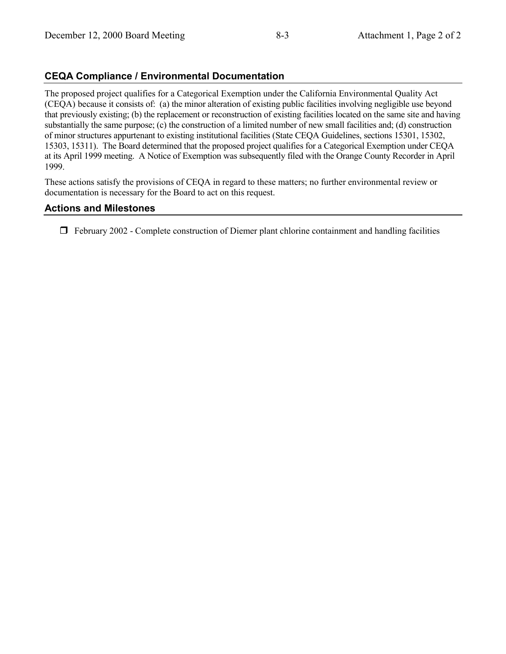## **CEQA Compliance / Environmental Documentation**

The proposed project qualifies for a Categorical Exemption under the California Environmental Quality Act (CEQA) because it consists of: (a) the minor alteration of existing public facilities involving negligible use beyond that previously existing; (b) the replacement or reconstruction of existing facilities located on the same site and having substantially the same purpose; (c) the construction of a limited number of new small facilities and; (d) construction of minor structures appurtenant to existing institutional facilities (State CEQA Guidelines, sections 15301, 15302, 15303, 15311). The Board determined that the proposed project qualifies for a Categorical Exemption under CEQA at its April 1999 meeting. A Notice of Exemption was subsequently filed with the Orange County Recorder in April 1999.

These actions satisfy the provisions of CEQA in regard to these matters; no further environmental review or documentation is necessary for the Board to act on this request.

### **Actions and Milestones**

 $\Box$  February 2002 - Complete construction of Diemer plant chlorine containment and handling facilities